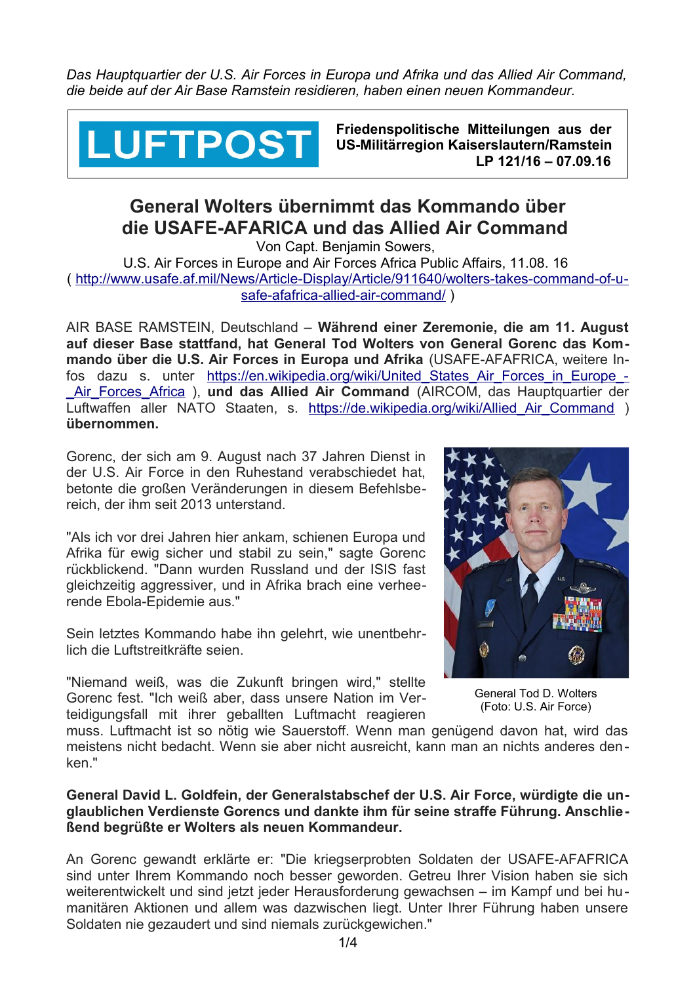*Das Hauptquartier der U.S. Air Forces in Europa und Afrika und das Allied Air Command, die beide auf der Air Base Ramstein residieren, haben einen neuen Kommandeur.* 



**Friedenspolitische Mitteilungen aus der US-Militärregion Kaiserslautern/Ramstein LP 121/16 – 07.09.16**

## **General Wolters übernimmt das Kommando über die USAFE-AFARICA und das Allied Air Command**

Von Capt. Benjamin Sowers, U.S. Air Forces in Europe and Air Forces Africa Public Affairs, 11.08. 16 ( [http://www.usafe.af.mil/News/Article-Display/Article/911640/wolters-takes-command-of-u](http://www.usafe.af.mil/News/Article-Display/Article/911640/wolters-takes-command-of-usafe-afafrica-allied-air-command/)[safe-afafrica-allied-air-command/](http://www.usafe.af.mil/News/Article-Display/Article/911640/wolters-takes-command-of-usafe-afafrica-allied-air-command/) )

AIR BASE RAMSTEIN, Deutschland – **Während einer Zeremonie, die am 11. August auf dieser Base stattfand, hat General Tod Wolters von General Gorenc das Kommando über die U.S. Air Forces in Europa und Afrika** (USAFE-AFAFRICA, weitere Infos dazu s. unter https://en.wikipedia.org/wiki/United States Air Forces in Europe -Air Forces Africa ), **und das Allied Air Command** (AIRCOM, das Hauptquartier der Luftwaffen aller NATO Staaten, s. https://de.wikipedia.org/wiki/Allied Air Command ) **übernommen.** 

Gorenc, der sich am 9. August nach 37 Jahren Dienst in der U.S. Air Force in den Ruhestand verabschiedet hat, betonte die großen Veränderungen in diesem Befehlsbereich, der ihm seit 2013 unterstand.

"Als ich vor drei Jahren hier ankam, schienen Europa und Afrika für ewig sicher und stabil zu sein," sagte Gorenc rückblickend. "Dann wurden Russland und der ISIS fast gleichzeitig aggressiver, und in Afrika brach eine verheerende Ebola-Epidemie aus."

Sein letztes Kommando habe ihn gelehrt, wie unentbehrlich die Luftstreitkräfte seien.

"Niemand weiß, was die Zukunft bringen wird," stellte Gorenc fest. "Ich weiß aber, dass unsere Nation im Verteidigungsfall mit ihrer geballten Luftmacht reagieren



 General Tod D. Wolters (Foto: U.S. Air Force)

muss. Luftmacht ist so nötig wie Sauerstoff. Wenn man genügend davon hat, wird das meistens nicht bedacht. Wenn sie aber nicht ausreicht, kann man an nichts anderes denken."

## **General David L. Goldfein, der Generalstabschef der U.S. Air Force, würdigte die unglaublichen Verdienste Gorencs und dankte ihm für seine straffe Führung. Anschließend begrüßte er Wolters als neuen Kommandeur.**

An Gorenc gewandt erklärte er: "Die kriegserprobten Soldaten der USAFE-AFAFRICA sind unter Ihrem Kommando noch besser geworden. Getreu Ihrer Vision haben sie sich weiterentwickelt und sind jetzt jeder Herausforderung gewachsen – im Kampf und bei humanitären Aktionen und allem was dazwischen liegt. Unter Ihrer Führung haben unsere Soldaten nie gezaudert und sind niemals zurückgewichen."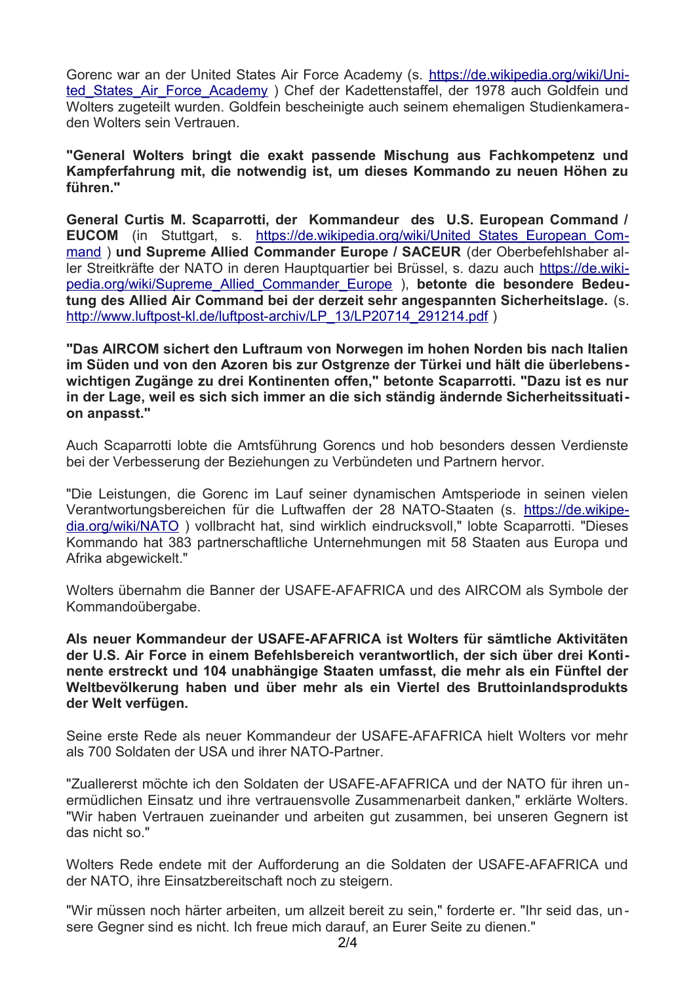Gorenc war an der United States Air Force Academy (s. [https://de.wikipedia.org/wiki/Uni](https://de.wikipedia.org/wiki/United_States_Air_Force_Academy)[ted\\_States\\_Air\\_Force\\_Academy](https://de.wikipedia.org/wiki/United_States_Air_Force_Academy) ) Chef der Kadettenstaffel, der 1978 auch Goldfein und Wolters zugeteilt wurden. Goldfein bescheinigte auch seinem ehemaligen Studienkameraden Wolters sein Vertrauen.

**"General Wolters bringt die exakt passende Mischung aus Fachkompetenz und Kampferfahrung mit, die notwendig ist, um dieses Kommando zu neuen Höhen zu führen."** 

**General Curtis M. Scaparrotti, der Kommandeur des U.S. European Command / EUCOM** (in Stuttgart, s. [https://de.wikipedia.org/wiki/United\\_States\\_European\\_Com](https://de.wikipedia.org/wiki/United_States_European_Command)[mand](https://de.wikipedia.org/wiki/United_States_European_Command) ) **und Supreme Allied Commander Europe / SACEUR** (der Oberbefehlshaber aller Streitkräfte der NATO in deren Hauptquartier bei Brüssel, s. dazu auch [https://de.wiki](https://de.wikipedia.org/wiki/Supreme_Allied_Commander_Europe)[pedia.org/wiki/Supreme\\_Allied\\_Commander\\_Europe](https://de.wikipedia.org/wiki/Supreme_Allied_Commander_Europe) ), **betonte die besondere Bedeutung des Allied Air Command bei der derzeit sehr angespannten Sicherheitslage.** (s. [http://www.luftpost-kl.de/luftpost-archiv/LP\\_13/LP20714\\_291214.pdf](http://www.luftpost-kl.de/luftpost-archiv/LP_13/LP20714_291214.pdf) )

**"Das AIRCOM sichert den Luftraum von Norwegen im hohen Norden bis nach Italien im Süden und von den Azoren bis zur Ostgrenze der Türkei und hält die überlebenswichtigen Zugänge zu drei Kontinenten offen," betonte Scaparrotti. "Dazu ist es nur in der Lage, weil es sich sich immer an die sich ständig ändernde Sicherheitssituation anpasst."** 

Auch Scaparrotti lobte die Amtsführung Gorencs und hob besonders dessen Verdienste bei der Verbesserung der Beziehungen zu Verbündeten und Partnern hervor.

"Die Leistungen, die Gorenc im Lauf seiner dynamischen Amtsperiode in seinen vielen Verantwortungsbereichen für die Luftwaffen der 28 NATO-Staaten (s. [https://de.wikipe](https://de.wikipedia.org/wiki/NATO)[dia.org/wiki/NATO](https://de.wikipedia.org/wiki/NATO) ) vollbracht hat, sind wirklich eindrucksvoll," lobte Scaparrotti. "Dieses Kommando hat 383 partnerschaftliche Unternehmungen mit 58 Staaten aus Europa und Afrika abgewickelt."

Wolters übernahm die Banner der USAFE-AFAFRICA und des AIRCOM als Symbole der Kommandoübergabe.

**Als neuer Kommandeur der USAFE-AFAFRICA ist Wolters für sämtliche Aktivitäten der U.S. Air Force in einem Befehlsbereich verantwortlich, der sich über drei Kontinente erstreckt und 104 unabhängige Staaten umfasst, die mehr als ein Fünftel der Weltbevölkerung haben und über mehr als ein Viertel des Bruttoinlandsprodukts der Welt verfügen.** 

Seine erste Rede als neuer Kommandeur der USAFE-AFAFRICA hielt Wolters vor mehr als 700 Soldaten der USA und ihrer NATO-Partner.

"Zuallererst möchte ich den Soldaten der USAFE-AFAFRICA und der NATO für ihren unermüdlichen Einsatz und ihre vertrauensvolle Zusammenarbeit danken," erklärte Wolters. "Wir haben Vertrauen zueinander und arbeiten gut zusammen, bei unseren Gegnern ist das nicht so."

Wolters Rede endete mit der Aufforderung an die Soldaten der USAFE-AFAFRICA und der NATO, ihre Einsatzbereitschaft noch zu steigern.

"Wir müssen noch härter arbeiten, um allzeit bereit zu sein," forderte er. "Ihr seid das, unsere Gegner sind es nicht. Ich freue mich darauf, an Eurer Seite zu dienen."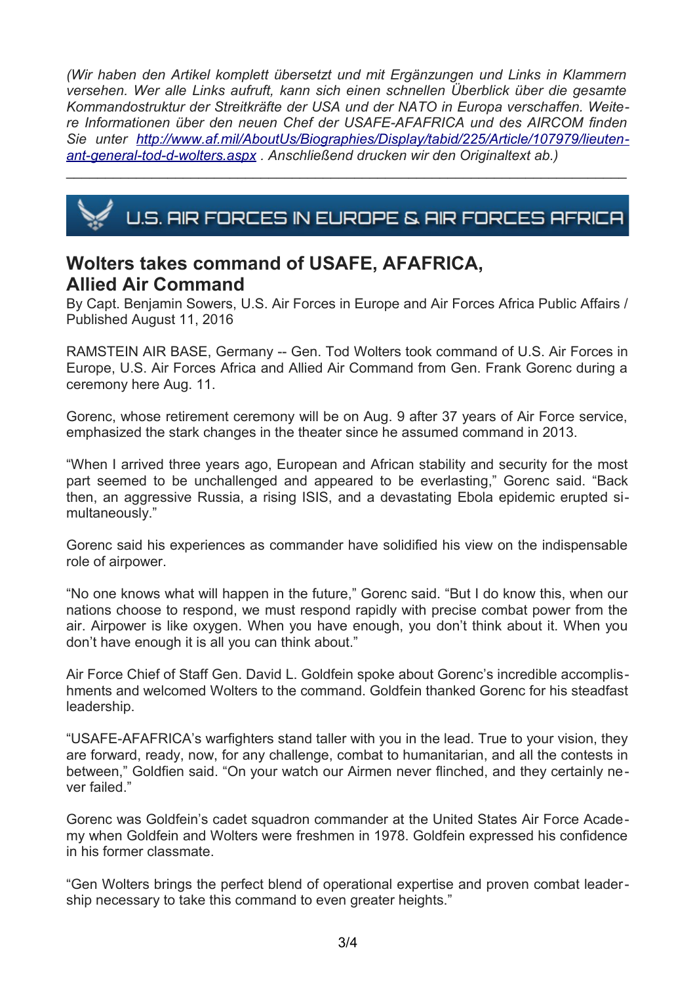*(Wir haben den Artikel komplett übersetzt und mit Ergänzungen und Links in Klammern versehen. Wer alle Links aufruft, kann sich einen schnellen Überblick über die gesamte Kommandostruktur der Streitkräfte der USA und der NATO in Europa verschaffen. Weitere Informationen über den neuen Chef der USAFE-AFAFRICA und des AIRCOM finden Sie unter [http://www.af.mil/AboutUs/Biographies/Display/tabid/225/Article/107979/lieuten](http://www.af.mil/AboutUs/Biographies/Display/tabid/225/Article/107979/lieutenant-general-tod-d-wolters.aspx)[ant-general-tod-d-wolters.aspx](http://www.af.mil/AboutUs/Biographies/Display/tabid/225/Article/107979/lieutenant-general-tod-d-wolters.aspx) . Anschließend drucken wir den Originaltext ab.)* 



\_\_\_\_\_\_\_\_\_\_\_\_\_\_\_\_\_\_\_\_\_\_\_\_\_\_\_\_\_\_\_\_\_\_\_\_\_\_\_\_\_\_\_\_\_\_\_\_\_\_\_\_\_\_\_\_\_\_\_\_\_\_\_\_\_\_\_\_\_\_\_\_

## **Wolters takes command of USAFE, AFAFRICA, Allied Air Command**

By Capt. Benjamin Sowers, U.S. Air Forces in Europe and Air Forces Africa Public Affairs / Published August 11, 2016

RAMSTEIN AIR BASE, Germany -- Gen. Tod Wolters took command of U.S. Air Forces in Europe, U.S. Air Forces Africa and Allied Air Command from Gen. Frank Gorenc during a ceremony here Aug. 11.

Gorenc, whose retirement ceremony will be on Aug. 9 after 37 years of Air Force service, emphasized the stark changes in the theater since he assumed command in 2013.

"When I arrived three years ago, European and African stability and security for the most part seemed to be unchallenged and appeared to be everlasting," Gorenc said. "Back then, an aggressive Russia, a rising ISIS, and a devastating Ebola epidemic erupted simultaneously."

Gorenc said his experiences as commander have solidified his view on the indispensable role of airpower.

"No one knows what will happen in the future," Gorenc said. "But I do know this, when our nations choose to respond, we must respond rapidly with precise combat power from the air. Airpower is like oxygen. When you have enough, you don't think about it. When you don't have enough it is all you can think about."

Air Force Chief of Staff Gen. David L. Goldfein spoke about Gorenc's incredible accomplishments and welcomed Wolters to the command. Goldfein thanked Gorenc for his steadfast leadership.

"USAFE-AFAFRICA's warfighters stand taller with you in the lead. True to your vision, they are forward, ready, now, for any challenge, combat to humanitarian, and all the contests in between," Goldfien said. "On your watch our Airmen never flinched, and they certainly never failed."

Gorenc was Goldfein's cadet squadron commander at the United States Air Force Academy when Goldfein and Wolters were freshmen in 1978. Goldfein expressed his confidence in his former classmate.

"Gen Wolters brings the perfect blend of operational expertise and proven combat leadership necessary to take this command to even greater heights."